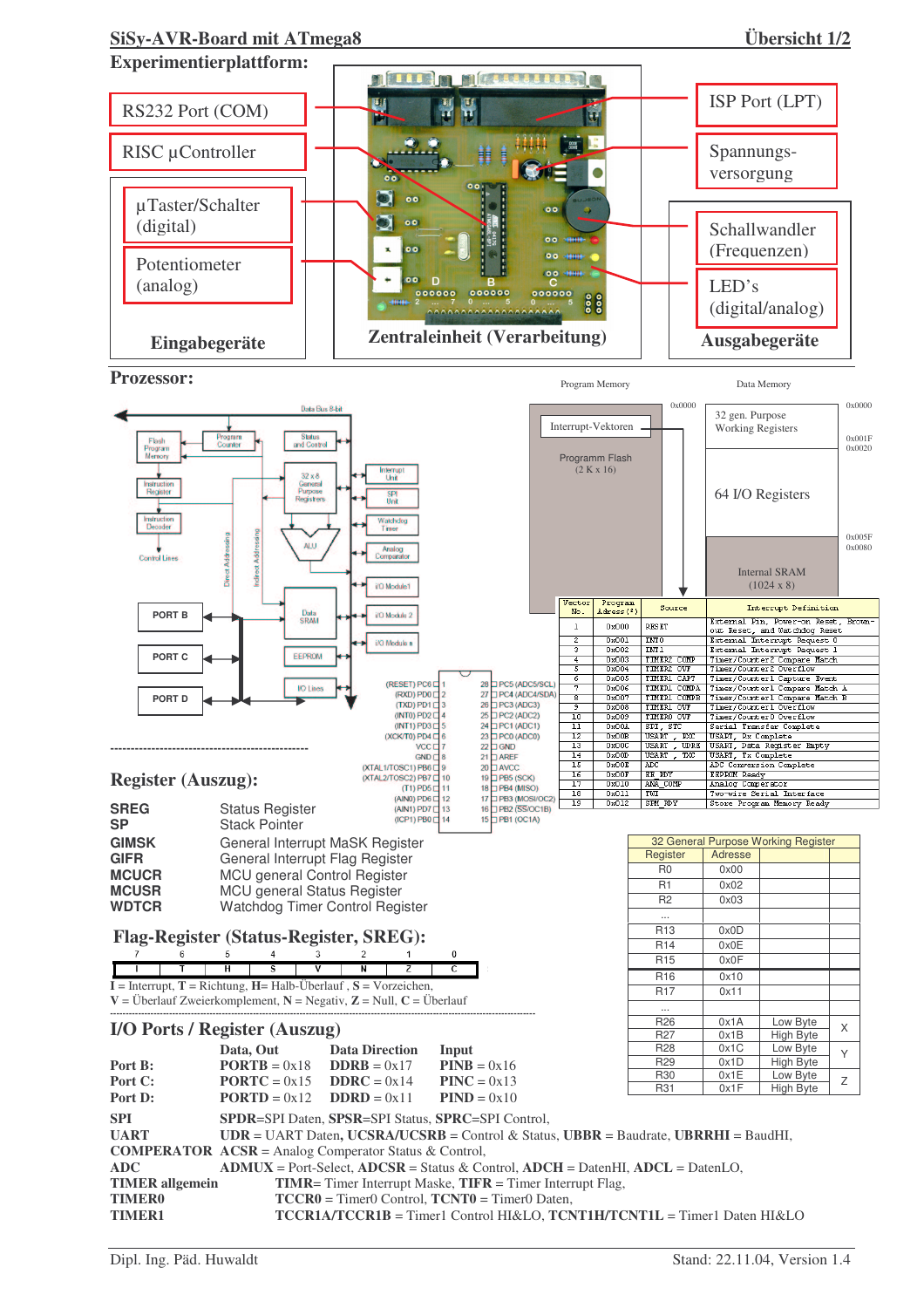## **SiSy-AVR-Board mit ATmega8 Übersicht 1/2**